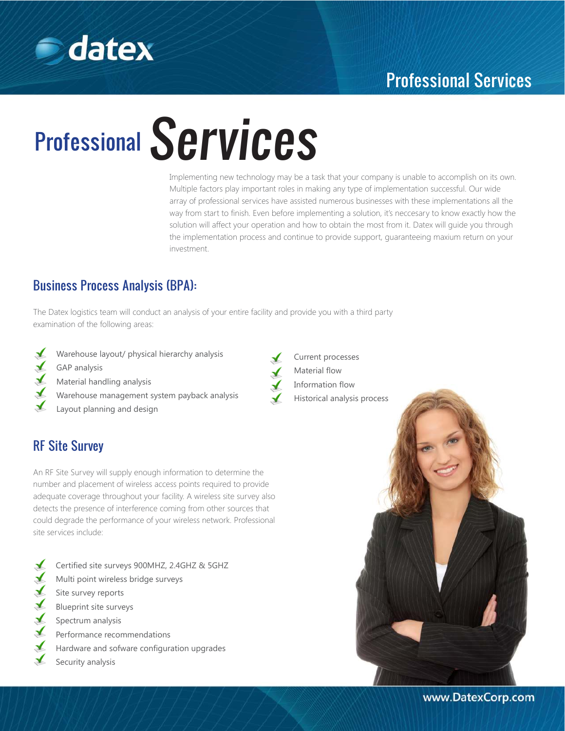

## Professional Services

# Professional Services

Implementing new technology may be a task that your company is unable to accomplish on its own. Multiple factors play important roles in making any type of implementation successful. Our wide array of professional services have assisted numerous businesses with these implementations all the way from start to finish. Even before implementing a solution, it's neccesary to know exactly how the solution will affect your operation and how to obtain the most from it. Datex will guide you through the implementation process and continue to provide support, guaranteeing maxium return on your investment.

## Business Process Analysis (BPA):

The Datex logistics team will conduct an analysis of your entire facility and provide you with a third party examination of the following areas:

- - Warehouse layout/ physical hierarchy analysis
	- GAP analysis
	- Material handling analysis
	- Warehouse management system payback analysis
	- Layout planning and design

### RF Site Survey

An RF Site Survey will supply enough information to determine the number and placement of wireless access points required to provide adequate coverage throughout your facility. A wireless site survey also detects the presence of interference coming from other sources that could degrade the performance of your wireless network. Professional site services include:

Certified site surveys 900MHZ, 2.4GHZ & 5GHZ Multi point wireless bridge surveys Site survey reports ✔ Blueprint site surveys Spectrum analysis Performance recommendations Hardware and sofware configuration upgrades Security analysis

Current processes Material flow Information flow Historical analysis process